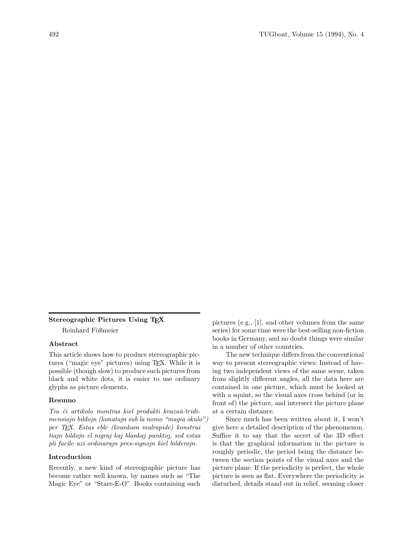## **Stereographic Pictures Using TEX**

Reinhard Fößmeier

### **Abstract**

This article shows how to produce stereographic pictures ("magic eye" pictures) using TEX. While it is possible (though slow) to produce such pictures from black and white dots, it is easier to use ordinary glyphs as picture elements.

#### **Resumo**

Tiu ĉi artikolo montras kiel produkti kvazaŭ-tridimensiajn bildojn (konatajn sub la nomo "magia okulo") per TEX. Estas eble (kvankam malrapide) konstrui tiajn bildojn el nigraj kaj blankaj punktoj, sed estas pli facile uzi ordinarajn pres-signojn kiel bilderojn.

# **Introduction**

Recently, a new kind of stereographic picture has become rather well known, by names such as "The Magic Eye" or "Stare-E-O". Books containing such

pictures (e.g., [1], and other volumes from the same series) for some time were the best-selling non-fiction books in Germany, and no doubt things were similar in a number of other countries.

The new technique differs from the conventional way to present stereographic views: Instead of having two independent views of the same scene, taken from slightly different angles, all the data here are contained in one picture, which must be looked at with a squint, so the visual axes cross behind (or in front of) the picture, and intersect the picture plane at a certain distance.

Since much has been written about it, I won't give here a detailed description of the phenomenon. Suffice it to say that the secret of the 3D effect is that the graphical information in the picture is roughly periodic, the period being the distance between the section points of the visual axes and the picture plane. If the periodicity is perfect, the whole picture is seen as flat. Everywhere the periodicity is disturbed, details stand out in relief, seeming closer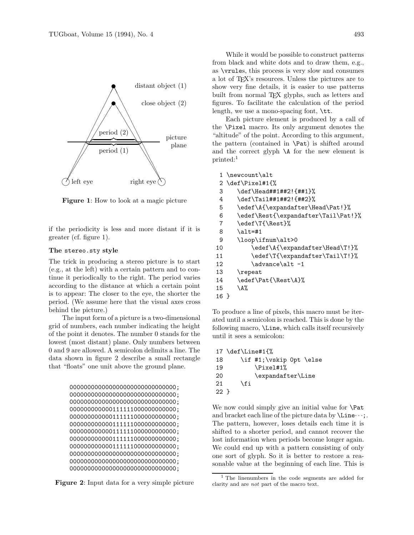

**Figure 1**: How to look at a magic picture

if the periodicity is less and more distant if it is greater (cf. figure 1).

#### **The** stereo.sty **style**

The trick in producing a stereo picture is to start (e.g., at the left) with a certain pattern and to continue it periodically to the right. The period varies according to the distance at which a certain point is to appear: The closer to the eye, the shorter the period. (We assume here that the visual axes cross behind the picture.)

The input form of a picture is a two-dimensional grid of numbers, each number indicating the height of the point it denotes. The number 0 stands for the lowest (most distant) plane. Only numbers between 0 and 9 are allowed. A semicolon delimits a line. The data shown in figure 2 describe a small rectangle that "floats" one unit above the ground plane.

```
000000000000000000000000000000;
000000000000000000000000000000;
000000000000000000000000000000;
000000000000111111000000000000;
000000000000111111000000000000;
000000000000111111000000000000;
000000000000111111000000000000;
000000000000111111000000000000;
000000000000111111000000000000;
000000000000000000000000000000;
000000000000000000000000000000;
000000000000000000000000000000;
```


While it would be possible to construct patterns from black and white dots and to draw them, e.g., as \vrules, this process is very slow and consumes a lot of TEX's resources. Unless the pictures are to show very fine details, it is easier to use patterns built from normal TEX glyphs, such as letters and figures. To facilitate the calculation of the period length, we use a mono-spacing font, \tt.

Each picture element is produced by a call of the \Pixel macro. Its only argument denotes the "altitude" of the point. According to this argument, the pattern (contained in \Pat) is shifted around and the correct glyph \A for the new element is printed:<sup>1</sup>

```
1 \newcount\alt
2 \def\Pixel#1{%
3 \def\Head##1##2!{##1}%
4 \def\Tail##1##2!{##2}%
5 \edef\A{\expandafter\Head\Pat!}%
6 \edef\Rest{\expandafter\Tail\Pat!}%
7 \edef\T{\Rest}%
8 \alt=#1
9 \loop\ifnum\alt>0
10 \edef\A{\expandafter\Head\T!}%
11 \edef\T{\expandafter\Tail\T!}%
12 \advance\alt -113 \repeat
14 \edef\Pat{\Rest\A}%
15 \quad \text{A}\%16 }
```
To produce a line of pixels, this macro must be iterated until a semicolon is reached. This is done by the following macro, \Line, which calls itself recursively until it sees a semicolon:

```
17 \def\Line#1{%
18 \if #1;\vskip 0pt \else
19 \Pi<sup>19</sup>
20 \expandafter\Line
21 \fi
22 }
```
We now could simply give an initial value for **\Pat** and bracket each line of the picture data by  $\text{Line}\cdots$ . The pattern, however, loses details each time it is shifted to a shorter period, and cannot recover the lost information when periods become longer again. We could end up with a pattern consisting of only one sort of glyph. So it is better to restore a reasonable value at the beginning of each line. This is

<sup>&</sup>lt;sup>1</sup> The linenumbers in the code segments are added for clarity and are not part of the macro text.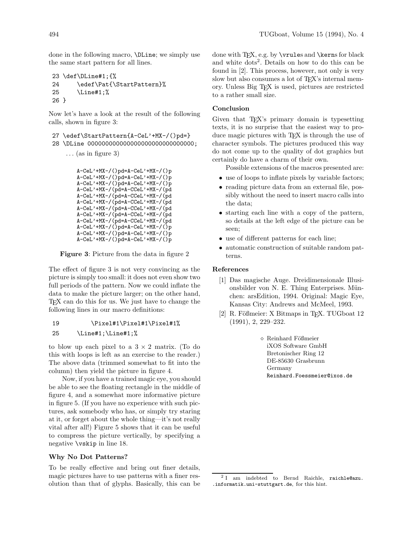done in the following macro, \DLine; we simply use the same start pattern for all lines.

```
23 \def\DLine#1;{%
24 \edef\Pat{\StartPattern}%
25 \Line#1;%
26 }
```
Now let's have a look at the result of the following calls, shown in figure 3:

```
27 \edef\StartPattern{A-CeL'+MX-/()pd=}
28 \DLine 000000000000000000000000000000;
```
... (as in figure 3)

```
A-CeL'+MX-/()pd=A-CeL'+MX-/()p
A-CeL'+MX-/()pd=A-CeL'+MX-/()p
A-CeL'+MX-/()pd=A-CeL'+MX-/()p
A-CeL'+MX-/(pd=A-CCeL'+MX-/(pd
A-CeL'+MX-/(pd=A-CCeL'+MX-/(pd
A-CeL'+MX-/(pd=A-CCeL'+MX-/(pd
A-CeL'+MX-/(pd=A-CCeL'+MX-/(pd
A-CeL'+MX-/(pd=A-CCeL'+MX-/(pd
A-CeL'+MX-/(pd=A-CCeL'+MX-/(pd
A-CeL'+MX-/(D)pd=A-CeL'+MX-/(D)pA-CeL'+MX-/()pd=A-CeL'+MX-/()p
A-CeL'+MX-/()pd=A-CeL'+MX-/()p
```
**Figure 3**: Picture from the data in figure 2

The effect of figure 3 is not very convincing as the picture is simply too small: it does not even show two full periods of the pattern. Now we could inflate the data to make the picture larger; on the other hand, TEX can do this for us. We just have to change the following lines in our macro definitions:

## 19 \Pixel#1\Pixel#1\Pixel#1%

## 25 \Line#1;\Line#1;%

to blow up each pixel to a  $3 \times 2$  matrix. (To do this with loops is left as an exercise to the reader.) The above data (trimmed somewhat to fit into the column) then yield the picture in figure 4.

Now, if you have a trained magic eye, you should be able to see the floating rectangle in the middle of figure 4, and a somewhat more informative picture in figure 5. (If you have no experience with such pictures, ask somebody who has, or simply try staring at it, or forget about the whole thing—it's not really vital after all!) Figure 5 shows that it can be useful to compress the picture vertically, by specifying a negative \vskip in line 18.

### **Why No Dot Patterns?**

To be really effective and bring out finer details, magic pictures have to use patterns with a finer resolution than that of glyphs. Basically, this can be done with  $TFX$ , e.g. by  $\vartheta$  and  $\ker$ s for black and white  $\frac{1}{2}$ . Details on how to do this can be found in [2]. This process, however, not only is very slow but also consumes a lot of T<sub>EX</sub>'s internal memory. Unless Big TEX is used, pictures are restricted to a rather small size.

#### **Conclusion**

Given that T<sub>EX</sub>'s primary domain is typesetting texts, it is no surprise that the easiest way to produce magic pictures with T<sub>EX</sub> is through the use of character symbols. The pictures produced this way do not come up to the quality of dot graphics but certainly do have a charm of their own.

Possible extensions of the macros presented are:

- use of loops to inflate pixels by variable factors;
- reading picture data from an external file, possibly without the need to insert macro calls into the data;
- starting each line with a copy of the pattern, so details at the left edge of the picture can be seen;
- use of different patterns for each line;
- automatic construction of suitable random patterns.

## **References**

- [1] Das magische Auge. Dreidimensionale Illusionsbilder von N. E. Thing Enterprises. München: arsEdition, 1994. Original: Magic Eye, Kansas City: Andrews and McMeel, 1993.
- [2] R. Fößmeier: X Bitmaps in TFX. TUGboat 12 (1991), 2, 229–232.
	- $\diamond$  Reinhard Fößmeier iXOS Software GmbH Bretonischer Ring 12 DE-85630 Grasbrunn Germany Reinhard.Foessmeier@ixos.de

<sup>&</sup>lt;sup>2</sup> I am indebted to Bernd Raichle, raichle@azu. .informatik.uni-stuttgart.de, for this hint.